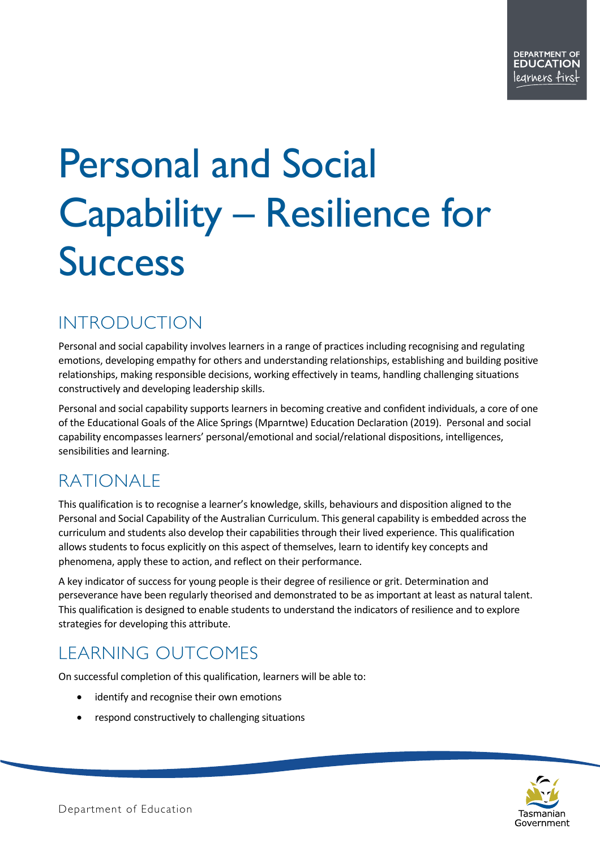# Personal and Social Capability – Resilience for **Success**

## INTRODUCTION

Personal and social capability involves learners in a range of practices including recognising and regulating emotions, developing empathy for others and understanding relationships, establishing and building positive relationships, making responsible decisions, working effectively in teams, handling challenging situations constructively and developing leadership skills.

Personal and social capability supports learners in becoming creative and confident individuals, a core of one of the Educational Goals of the Alice Springs (Mparntwe) Education Declaration (2019). Personal and social capability encompasses learners' personal/emotional and social/relational dispositions, intelligences, sensibilities and learning.

## RATIONALE

This qualification is to recognise a learner's knowledge, skills, behaviours and disposition aligned to the Personal and Social Capability of the Australian Curriculum. This general capability is embedded across the curriculum and students also develop their capabilities through their lived experience. This qualification allows students to focus explicitly on this aspect of themselves, learn to identify key concepts and phenomena, apply these to action, and reflect on their performance.

A key indicator of success for young people is their degree of resilience or grit. Determination and perseverance have been regularly theorised and demonstrated to be as important at least as natural talent. This qualification is designed to enable students to understand the indicators of resilience and to explore strategies for developing this attribute.

# LEARNING OUTCOMES

On successful completion of this qualification, learners will be able to:

- identify and recognise their own emotions
- respond constructively to challenging situations

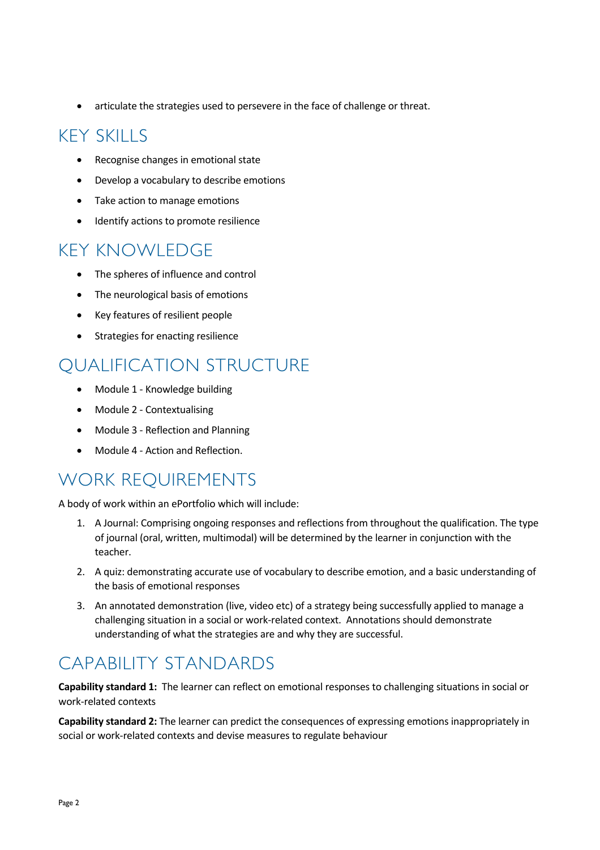• articulate the strategies used to persevere in the face of challenge or threat.

## KEY SKILLS

- Recognise changes in emotional state
- Develop a vocabulary to describe emotions
- Take action to manage emotions
- Identify actions to promote resilience

#### KEY KNOWLEDGE

- The spheres of influence and control
- The neurological basis of emotions
- Key features of resilient people
- Strategies for enacting resilience

## QUALIFICATION STRUCTURE

- Module 1 Knowledge building
- Module 2 Contextualising
- Module 3 Reflection and Planning
- Module 4 Action and Reflection.

## WORK REQUIREMENTS

A body of work within an ePortfolio which will include:

- 1. A Journal: Comprising ongoing responses and reflections from throughout the qualification. The type of journal (oral, written, multimodal) will be determined by the learner in conjunction with the teacher.
- 2. A quiz: demonstrating accurate use of vocabulary to describe emotion, and a basic understanding of the basis of emotional responses
- 3. An annotated demonstration (live, video etc) of a strategy being successfully applied to manage a challenging situation in a social or work-related context. Annotations should demonstrate understanding of what the strategies are and why they are successful.

## CAPABILITY STANDARDS

**Capability standard 1:** The learner can reflect on emotional responses to challenging situations in social or work-related contexts

**Capability standard 2:** The learner can predict the consequences of expressing emotions inappropriately in social or work-related contexts and devise measures to regulate behaviour